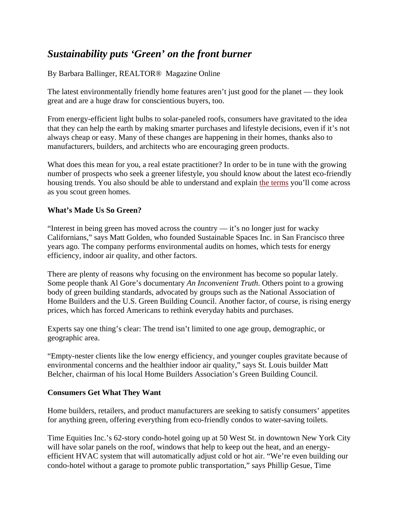## *Sustainability puts 'Green' on the front burner*

By Barbara Ballinger, REALTOR® Magazine Online

The latest environmentally friendly home features aren't just good for the planet — they look great and are a huge draw for conscientious buyers, too.

From energy-efficient light bulbs to solar-paneled roofs, consumers have gravitated to the idea that they can help the earth by making smarter purchases and lifestyle decisions, even if it's not always cheap or easy. Many of these changes are happening in their homes, thanks also to manufacturers, builders, and architects who are encouraging green products.

What does this mean for you, a real estate practitioner? In order to be in tune with the growing number of prospects who seek a greener lifestyle, you should know about the latest eco-friendly housing trends. You also should be able to understand and explain the terms you'll come across as you scout green homes.

## **What's Made Us So Green?**

"Interest in being green has moved across the country — it's no longer just for wacky Californians," says Matt Golden, who founded Sustainable Spaces Inc. in San Francisco three years ago. The company performs environmental audits on homes, which tests for energy efficiency, indoor air quality, and other factors.

There are plenty of reasons why focusing on the environment has become so popular lately. Some people thank Al Gore's documentary *An Inconvenient Truth*. Others point to a growing body of green building standards, advocated by groups such as the National Association of Home Builders and the U.S. Green Building Council. Another factor, of course, is rising energy prices, which has forced Americans to rethink everyday habits and purchases.

Experts say one thing's clear: The trend isn't limited to one age group, demographic, or geographic area.

"Empty-nester clients like the low energy efficiency, and younger couples gravitate because of environmental concerns and the healthier indoor air quality," says St. Louis builder Matt Belcher, chairman of his local Home Builders Association's Green Building Council.

## **Consumers Get What They Want**

Home builders, retailers, and product manufacturers are seeking to satisfy consumers' appetites for anything green, offering everything from eco-friendly condos to water-saving toilets.

Time Equities Inc.'s 62-story condo-hotel going up at 50 West St. in downtown New York City will have solar panels on the roof, windows that help to keep out the heat, and an energyefficient HVAC system that will automatically adjust cold or hot air. "We're even building our condo-hotel without a garage to promote public transportation," says Phillip Gesue, Time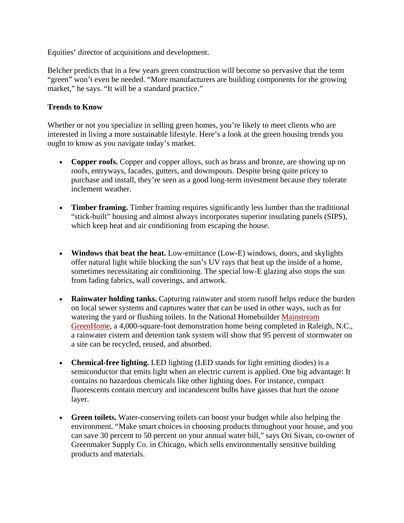Equities' director of acquisitions and development.

Belcher predicts that in a few years green construction will become so pervasive that the term "green" won't even be needed. "More manufacturers are building components for the growing market," he says. "It will be a standard practice."

## **Trends to Know**

Whether or not you specialize in selling green homes, you're likely to meet clients who are interested in living a more sustainable lifestyle. Here's a look at the green housing trends you ought to know as you navigate today's market.

- **Copper roofs.** Copper and copper alloys, such as brass and bronze, are showing up on roofs, entryways, facades, gutters, and downspouts. Despite being quite pricey to purchase and install, they're seen as a good long-term investment because they tolerate inclement weather.
- **Timber framing.** Timber framing requires significantly less lumber than the traditional "stick-built" housing and almost always incorporates superior insulating panels (SIPS), which keep heat and air conditioning from escaping the house.
- **Windows that beat the heat.** Low-emittance (Low-E) windows, doors, and skylights offer natural light while blocking the sun's UV rays that heat up the inside of a home, sometimes necessitating air conditioning. The special low-E glazing also stops the sun from fading fabrics, wall coverings, and artwork.
- **Rainwater holding tanks.** Capturing rainwater and storm runoff helps reduce the burden on local sewer systems and captures water that can be used in other ways, such as for watering the yard or flushing toilets. In the National Homebuilder Mainstream GreenHome, a 4,000-square-foot demonstration home being completed in Raleigh, N.C., a rainwater cistern and detention tank system will show that 95 percent of stormwater on a site can be recycled, reused, and absorbed.
- **Chemical-free lighting.** LED lighting (LED stands for light emitting diodes) is a semiconductor that emits light when an electric current is applied. One big advantage: It contains no hazardous chemicals like other lighting does. For instance, compact fluorescents contain mercury and incandescent bulbs have gasses that hurt the ozone layer.
- **Green toilets.** Water-conserving toilets can boost your budget while also helping the environment. "Make smart choices in choosing products throughout your house, and you can save 30 percent to 50 percent on your annual water bill," says Ori Sivan, co-owner of Greenmaker Supply Co. in Chicago, which sells environmentally sensitive building products and materials.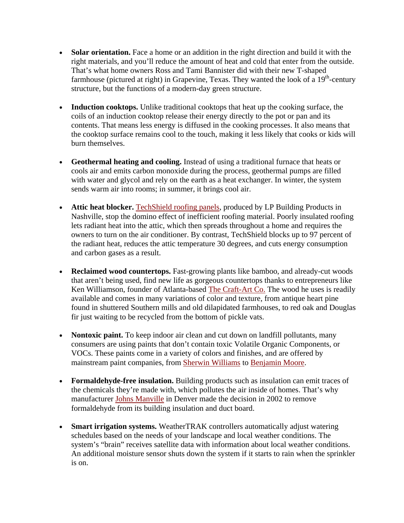- **Solar orientation.** Face a home or an addition in the right direction and build it with the right materials, and you'll reduce the amount of heat and cold that enter from the outside. That's what home owners Ross and Tami Bannister did with their new T-shaped farmhouse (pictured at right) in Grapevine, Texas. They wanted the look of a  $19<sup>th</sup>$ -century structure, but the functions of a modern-day green structure.
- **Induction cooktops.** Unlike traditional cooktops that heat up the cooking surface, the coils of an induction cooktop release their energy directly to the pot or pan and its contents. That means less energy is diffused in the cooking processes. It also means that the cooktop surface remains cool to the touch, making it less likely that cooks or kids will burn themselves.
- **Geothermal heating and cooling.** Instead of using a traditional furnace that heats or cools air and emits carbon monoxide during the process, geothermal pumps are filled with water and glycol and rely on the earth as a heat exchanger. In winter, the system sends warm air into rooms; in summer, it brings cool air.
- Attic heat blocker. TechShield roofing panels, produced by LP Building Products in Nashville, stop the domino effect of inefficient roofing material. Poorly insulated roofing lets radiant heat into the attic, which then spreads throughout a home and requires the owners to turn on the air conditioner. By contrast, TechShield blocks up to 97 percent of the radiant heat, reduces the attic temperature 30 degrees, and cuts energy consumption and carbon gases as a result.
- **Reclaimed wood countertops.** Fast-growing plants like bamboo, and already-cut woods that aren't being used, find new life as gorgeous countertops thanks to entrepreneurs like Ken Williamson, founder of Atlanta-based The Craft-Art Co. The wood he uses is readily available and comes in many variations of color and texture, from antique heart pine found in shuttered Southern mills and old dilapidated farmhouses, to red oak and Douglas fir just waiting to be recycled from the bottom of pickle vats.
- **Nontoxic paint.** To keep indoor air clean and cut down on landfill pollutants, many consumers are using paints that don't contain toxic Volatile Organic Components, or VOCs. These paints come in a variety of colors and finishes, and are offered by mainstream paint companies, from Sherwin Williams to Benjamin Moore.
- **Formaldehyde-free insulation.** Building products such as insulation can emit traces of the chemicals they're made with, which pollutes the air inside of homes. That's why manufacturer Johns Manville in Denver made the decision in 2002 to remove formaldehyde from its building insulation and duct board.
- **Smart irrigation systems.** WeatherTRAK controllers automatically adjust watering schedules based on the needs of your landscape and local weather conditions. The system's "brain" receives satellite data with information about local weather conditions. An additional moisture sensor shuts down the system if it starts to rain when the sprinkler is on.